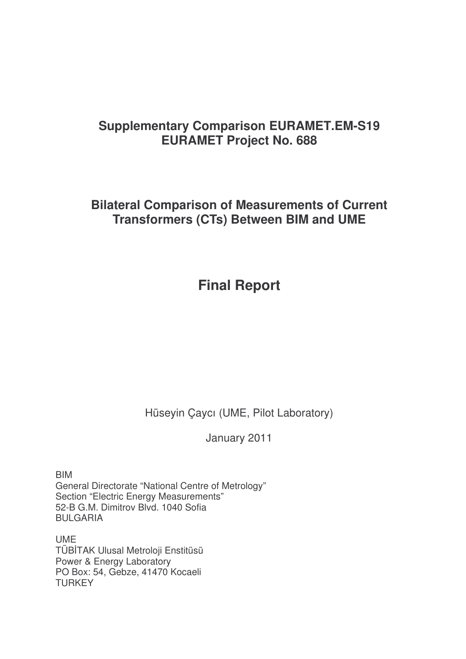# **Supplementary Comparison EURAMET.EM-S19 EURAMET Project No. 688**

**Bilateral Comparison of Measurements of Current Transformers (CTs) Between BIM and UME**

# **Final Report**

Hüseyin Çaycı (UME, Pilot Laboratory)

January 2011

BIM General Directorate "National Centre of Metrology" Section "Electric Energy Measurements" 52-B G.M. Dimitrov Blvd. 1040 Sofia BULGARIA

UME TÜBTAK Ulusal Metroloji Enstitüsü Power & Energy Laboratory PO Box: 54, Gebze, 41470 Kocaeli **TURKEY**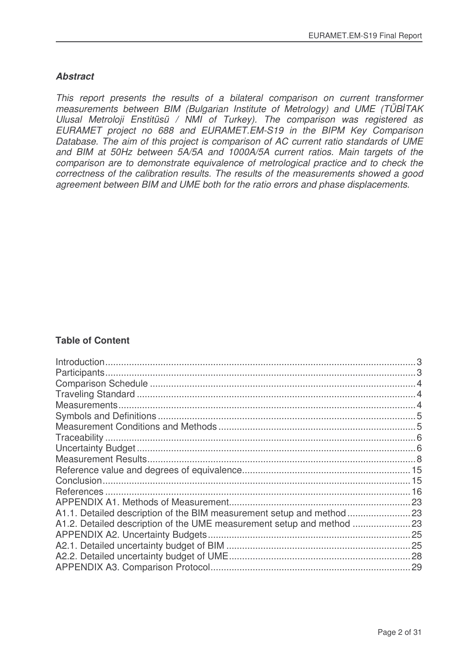### *Abstract*

*This report presents the results of a bilateral comparison on current transformer measurements between BIM (Bulgarian Institute of Metrology) and UME (TÜBTAK Ulusal Metroloji Enstitüsü / NMI of Turkey). The comparison was registered as EURAMET project no 688 and EURAMET.EM-S19 in the BIPM Key Comparison Database. The aim of this project is comparison of AC current ratio standards of UME and BIM at 50Hz between 5A/5A and 1000A/5A current ratios. Main targets of the comparison are to demonstrate equivalence of metrological practice and to check the correctness of the calibration results. The results of the measurements showed a good agreement between BIM and UME both for the ratio errors and phase displacements.*

### **Table of Content**

| <b>APPENDIX A2. Uncertainty Budgets</b> |  |
|-----------------------------------------|--|
|                                         |  |
|                                         |  |
|                                         |  |
|                                         |  |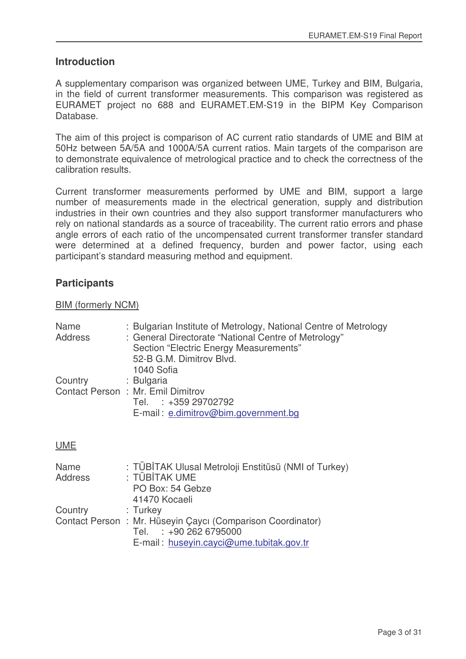### **Introduction**

A supplementary comparison was organized between UME, Turkey and BIM, Bulgaria, in the field of current transformer measurements. This comparison was registered as EURAMET project no 688 and EURAMET.EM-S19 in the BIPM Key Comparison Database.

The aim of this project is comparison of AC current ratio standards of UME and BIM at 50Hz between 5A/5A and 1000A/5A current ratios. Main targets of the comparison are to demonstrate equivalence of metrological practice and to check the correctness of the calibration results.

Current transformer measurements performed by UME and BIM, support a large number of measurements made in the electrical generation, supply and distribution industries in their own countries and they also support transformer manufacturers who rely on national standards as a source of traceability. The current ratio errors and phase angle errors of each ratio of the uncompensated current transformer transfer standard were determined at a defined frequency, burden and power factor, using each participant's standard measuring method and equipment.

## **Participants**

### BIM (formerly NCM)

| Name<br>Address | : Bulgarian Institute of Metrology, National Centre of Metrology<br>: General Directorate "National Centre of Metrology"<br>Section "Electric Energy Measurements"<br>52-B G.M. Dimitrov Blvd.<br>1040 Sofia |
|-----------------|--------------------------------------------------------------------------------------------------------------------------------------------------------------------------------------------------------------|
| Country         | : Bulgaria<br>Contact Person: Mr. Emil Dimitrov<br>Tel. : +359 29702792<br>E-mail: e.dimitrov@bim.government.bg                                                                                              |

### UME

| Name    | : TÜBİTAK Ulusal Metroloji Enstitüsü (NMI of Turkey)       |  |
|---------|------------------------------------------------------------|--|
| Address | : TÜBİTAK UME                                              |  |
|         | PO Box: 54 Gebze                                           |  |
|         | 41470 Kocaeli                                              |  |
| Country | : Turkey                                                   |  |
|         | Contact Person: Mr. Hüseyin Çaycı (Comparison Coordinator) |  |
|         | Tel. : +90 262 6795000                                     |  |
|         | E-mail: huseyin.cayci@ume.tubitak.gov.tr                   |  |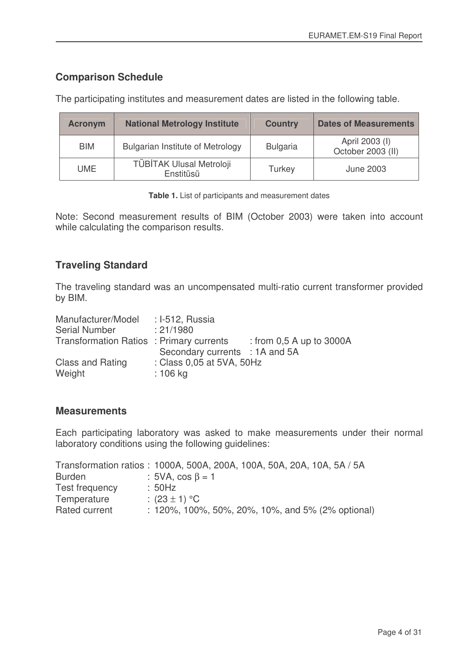# **Comparison Schedule**

| <b>Acronym</b> | <b>National Metrology Institute</b>     | <b>Country</b>  | <b>Dates of Measurements</b>        |
|----------------|-----------------------------------------|-----------------|-------------------------------------|
| <b>BIM</b>     | <b>Bulgarian Institute of Metrology</b> | <b>Bulgaria</b> | April 2003 (I)<br>October 2003 (II) |
| <b>UME</b>     | TÜBİTAK Ulusal Metroloji<br>Enstitüsü   | Turkey          | <b>June 2003</b>                    |

The participating institutes and measurement dates are listed in the following table.

**Table 1.** List of participants and measurement dates

Note: Second measurement results of BIM (October 2003) were taken into account while calculating the comparison results.

## **Traveling Standard**

The traveling standard was an uncompensated multi-ratio current transformer provided by BIM.

| Manufacturer/Model                      | : I-512, Russia                |                            |
|-----------------------------------------|--------------------------------|----------------------------|
| <b>Serial Number</b>                    | : 21/1980                      |                            |
| Transformation Ratios: Primary currents |                                | : from $0.5$ A up to 3000A |
|                                         | Secondary currents : 1A and 5A |                            |
| <b>Class and Rating</b>                 | : Class 0,05 at 5VA, 50Hz      |                            |
| Weight                                  | $: 106$ kg                     |                            |

### **Measurements**

Each participating laboratory was asked to make measurements under their normal laboratory conditions using the following guidelines:

| Transformation ratios: 1000A, 500A, 200A, 100A, 50A, 20A, 10A, 5A / 5A |
|------------------------------------------------------------------------|
| : $5VA$ , $cos \beta = 1$                                              |
| :50Hz                                                                  |
| : $(23 \pm 1)$ °C                                                      |
| $: 120\%$ , 100%, 50%, 20%, 10%, and 5% (2% optional)                  |
|                                                                        |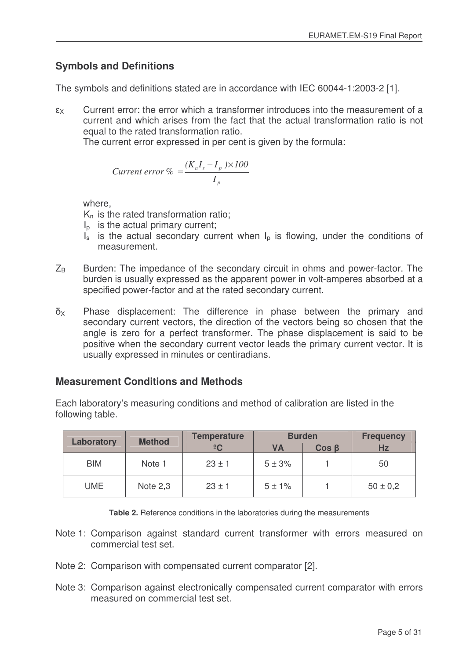# **Symbols and Definitions**

The symbols and definitions stated are in accordance with IEC 60044-1:2003-2 [1].

 $\epsilon_{X}$ Current error: the error which a transformer introduces into the measurement of a current and which arises from the fact that the actual transformation ratio is not equal to the rated transformation ratio.

The current error expressed in per cent is given by the formula:

$$
Current\ error\ \% = \frac{(K_n I_s - I_p) \times 100}{I_p}
$$

where,

 $K_n$  is the rated transformation ratio;

- $I<sub>p</sub>$  is the actual primary current;
- $I_s$  is the actual secondary current when  $I_p$  is flowing, under the conditions of measurement.
- $Z_B$  Burden: The impedance of the secondary circuit in ohms and power-factor. The burden is usually expressed as the apparent power in volt-amperes absorbed at a specified power-factor and at the rated secondary current.
- $\delta_X$  Phase displacement: The difference in phase between the primary and secondary current vectors, the direction of the vectors being so chosen that the angle is zero for a perfect transformer. The phase displacement is said to be positive when the secondary current vector leads the primary current vector. It is usually expressed in minutes or centiradians.

# **Measurement Conditions and Methods**

|  | Laboratory | <b>Method</b> | <b>Temperature</b> |            | <b>Burden</b> | <b>Frequency</b> |
|--|------------|---------------|--------------------|------------|---------------|------------------|
|  |            |               | $\frac{1}{2}C$     | VA         | $Cos \beta$   | <b>Hz</b>        |
|  | <b>BIM</b> | Note 1        | $23 \pm 1$         | $5 \pm 3%$ |               | 50               |
|  | <b>UME</b> | Note 2,3      | $23 \pm 1$         | $5 + 1%$   |               | $50 \pm 0.2$     |

Each laboratory's measuring conditions and method of calibration are listed in the following table.

**Table 2.** Reference conditions in the laboratories during the measurements

- Note 1: Comparison against standard current transformer with errors measured on commercial test set.
- Note 2: Comparison with compensated current comparator [2].
- Note 3: Comparison against electronically compensated current comparator with errors measured on commercial test set.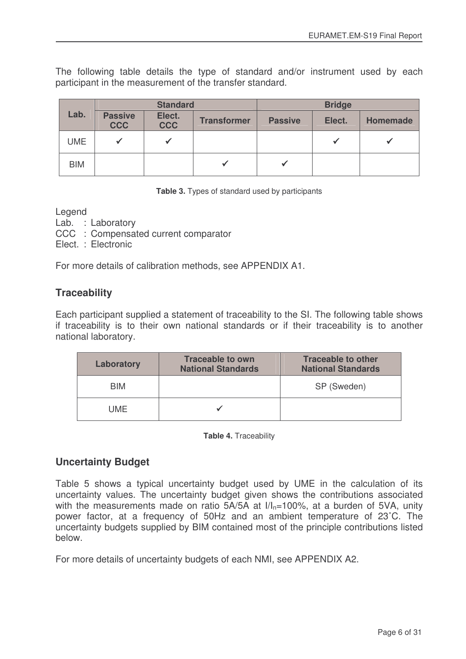The following table details the type of standard and/or instrument used by each participant in the measurement of the transfer standard.

|            |                              | <b>Standard</b>      |                    | <b>Bridge</b>  |        |          |  |  |  |  |
|------------|------------------------------|----------------------|--------------------|----------------|--------|----------|--|--|--|--|
| Lab.       | <b>Passive</b><br><b>CCC</b> | Elect.<br><b>CCC</b> | <b>Transformer</b> | <b>Passive</b> | Elect. | Homemade |  |  |  |  |
| <b>UME</b> | ✔                            |                      |                    |                |        |          |  |  |  |  |
| <b>BIM</b> |                              |                      |                    |                |        |          |  |  |  |  |

**Table 3.** Types of standard used by participants

Legend

- Lab. : Laboratory
- CCC : Compensated current comparator
- Elect. : Electronic

For more details of calibration methods, see APPENDIX A1.

## **Traceability**

Each participant supplied a statement of traceability to the SI. The following table shows if traceability is to their own national standards or if their traceability is to another national laboratory.

| Laboratory | <b>Traceable to own</b><br><b>National Standards</b> | <b>Traceable to other</b><br><b>National Standards</b> |
|------------|------------------------------------------------------|--------------------------------------------------------|
| <b>BIM</b> |                                                      | SP (Sweden)                                            |
| UME        |                                                      |                                                        |

**Table 4.** Traceability

### **Uncertainty Budget**

Table 5 shows a typical uncertainty budget used by UME in the calculation of its uncertainty values. The uncertainty budget given shows the contributions associated with the measurements made on ratio  $5A/5A$  at  $I/I<sub>n</sub>=100%$ , at a burden of 5VA, unity power factor, at a frequency of 50Hz and an ambient temperature of 23˚C. The uncertainty budgets supplied by BIM contained most of the principle contributions listed below.

For more details of uncertainty budgets of each NMI, see APPENDIX A2.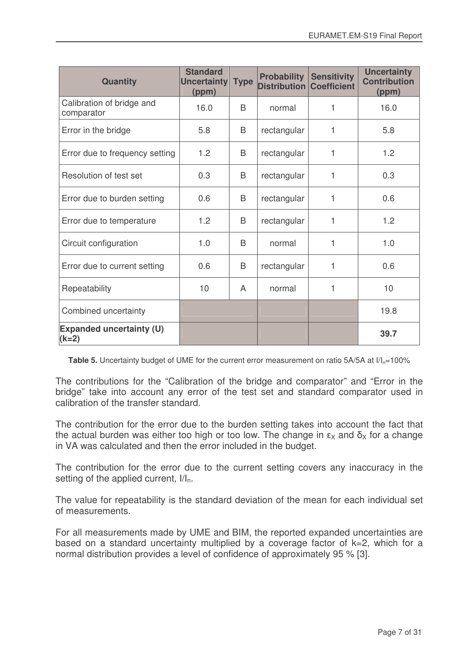| <b>Quantity</b>                            | <b>Standard</b><br>Uncertainty<br>(ppm) | <b>Type</b> | <b>Probability</b><br><b>Distribution</b> | <b>Sensitivity</b><br><b>Coefficient</b> | <b>Uncertainty</b><br><b>Contribution</b><br>(ppm) |
|--------------------------------------------|-----------------------------------------|-------------|-------------------------------------------|------------------------------------------|----------------------------------------------------|
| Calibration of bridge and<br>comparator    | 16.0                                    | B           | normal                                    | 1                                        | 16.0                                               |
| Error in the bridge                        | 5.8                                     | B           | rectangular                               | 1                                        | 5.8                                                |
| Error due to frequency setting             | 1.2                                     | B           | rectangular                               | 1                                        | 1.2                                                |
| Resolution of test set                     | 0.3                                     | B           | rectangular                               | 1                                        | 0.3                                                |
| Error due to burden setting                | 0.6                                     | B           | rectangular                               | 1                                        | 0.6                                                |
| Error due to temperature                   | 1.2                                     | B           | rectangular                               | 1                                        | 1.2                                                |
| Circuit configuration                      | 1.0                                     | В           | normal                                    | 1                                        | 1.0                                                |
| Error due to current setting               | 0.6                                     | B           | rectangular                               | 1                                        | 0.6                                                |
| Repeatability                              | 10                                      | A           | normal                                    | 1                                        | 10                                                 |
| Combined uncertainty                       |                                         |             |                                           |                                          | 19.8                                               |
| <b>Expanded uncertainty (U)</b><br>$(k=2)$ |                                         |             |                                           |                                          | 39.7                                               |

**Table 5.** Uncertainty budget of UME for the current error measurement on ratio 5A/5A at  $I/I_{n}=100\%$ 

The contributions for the "Calibration of the bridge and comparator" and "Error in the bridge" take into account any error of the test set and standard comparator used in calibration of the transfer standard.

The contribution for the error due to the burden setting takes into account the fact that the actual burden was either too high or too low. The change in  $\epsilon_{\text{X}}$  and  $\bar{\mathsf{o}}_{\text{X}}$  for a change in VA was calculated and then the error included in the budget.

The contribution for the error due to the current setting covers any inaccuracy in the setting of the applied current,  $I/I_n$ .

The value for repeatability is the standard deviation of the mean for each individual set of measurements.

For all measurements made by UME and BIM, the reported expanded uncertainties are based on a standard uncertainty multiplied by a coverage factor of k=2, which for a normal distribution provides a level of confidence of approximately 95 % [3].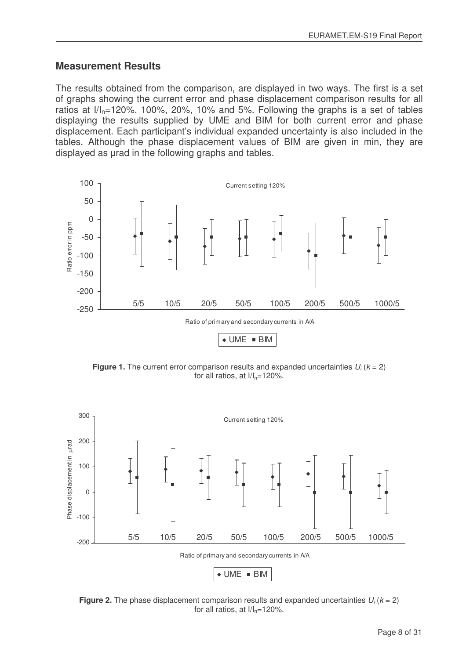### **Measurement Results**

The results obtained from the comparison, are displayed in two ways. The first is a set of graphs showing the current error and phase displacement comparison results for all ratios at  $1/I_n=120\%$ , 100%, 20%, 10% and 5%. Following the graphs is a set of tables displaying the results supplied by UME and BIM for both current error and phase displacement. Each participant's individual expanded uncertainty is also included in the tables. Although the phase displacement values of BIM are given in min, they are displayed as urad in the following graphs and tables.



**Figure 1.** The current error comparison results and expanded uncertainties  $U_i$  ( $k = 2$ ) for all ratios, at  $I/I_n=120\%$ .



**Figure 2.** The phase displacement comparison results and expanded uncertainties  $U_i$  ( $k = 2$ ) for all ratios, at  $I/I_n=120\%$ .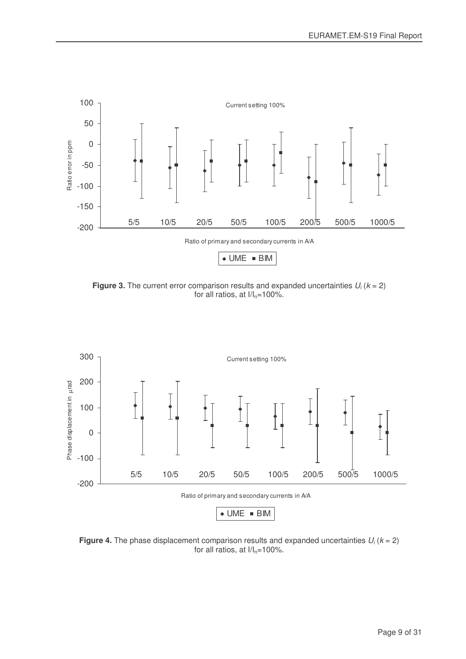

**Figure 3.** The current error comparison results and expanded uncertainties  $U_i$  ( $k = 2$ ) for all ratios, at  $I/I_n=100\%$ .



**Figure 4.** The phase displacement comparison results and expanded uncertainties  $U_i$  ( $k = 2$ ) for all ratios, at  $I/I_n=100\%$ .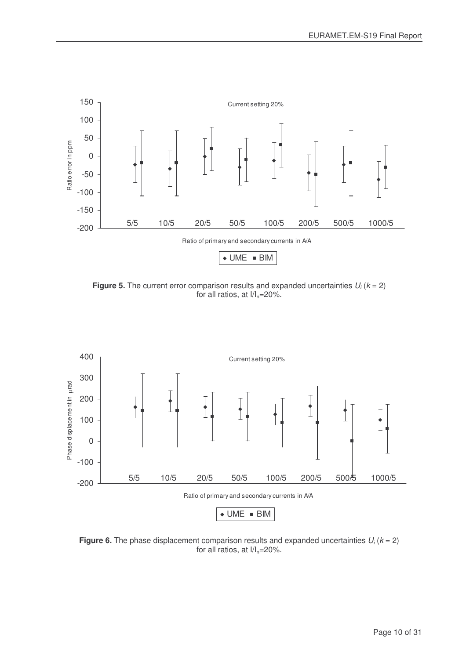

**Figure 5.** The current error comparison results and expanded uncertainties  $U_i$  ( $k = 2$ ) for all ratios, at  $I/I_n=20\%$ .



**Figure 6.** The phase displacement comparison results and expanded uncertainties  $U_i$  ( $k = 2$ ) for all ratios, at  $I/I_n=20\%$ .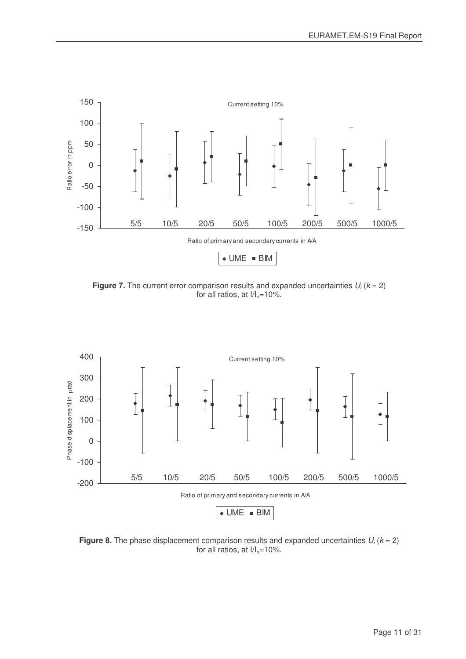

**Figure 7.** The current error comparison results and expanded uncertainties  $U_i$  ( $k = 2$ ) for all ratios, at  $I/I_n=10\%$ .



**Figure 8.** The phase displacement comparison results and expanded uncertainties *U<sup>i</sup>* (*k* = 2) for all ratios, at  $I/I_n=10\%$ .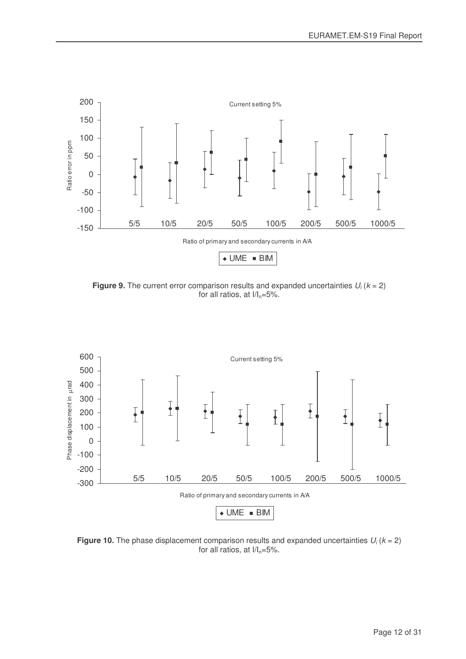

**Figure 9.** The current error comparison results and expanded uncertainties  $U_i$  ( $k = 2$ ) for all ratios, at  $I/I_n=5%$ .



**Figure 10.** The phase displacement comparison results and expanded uncertainties  $U_i$  ( $k = 2$ ) for all ratios, at  $I/I_n=5%$ .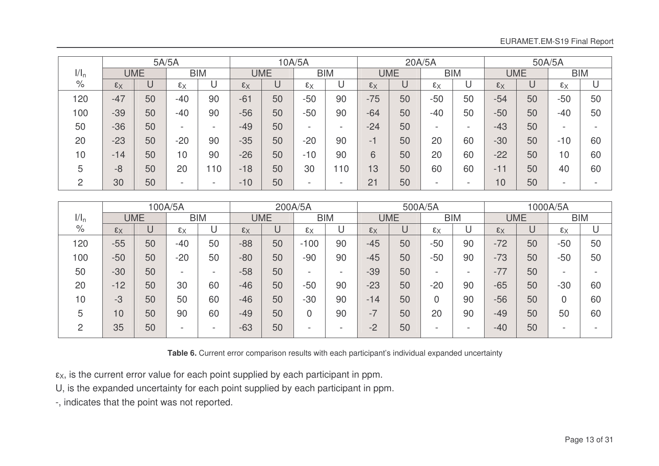|                  |                |            | 5A/5A                    |            |                |            | 10A/5A         |                          | 20A/5A                   |    |                |                          | 50A/5A         |    |                          |                          |
|------------------|----------------|------------|--------------------------|------------|----------------|------------|----------------|--------------------------|--------------------------|----|----------------|--------------------------|----------------|----|--------------------------|--------------------------|
| 1/1 <sub>n</sub> |                | <b>UME</b> |                          | <b>BIM</b> |                | <b>UME</b> |                | <b>BIM</b>               | <b>BIM</b><br><b>UME</b> |    |                | <b>UME</b><br><b>BIM</b> |                |    |                          |                          |
| $\%$             | $\epsilon_{X}$ | U          | $\epsilon_{X}$           |            | $\epsilon_{X}$ | U          | $\epsilon_{X}$ | U                        | $\epsilon_{X}$           |    | $\epsilon_{X}$ |                          | $\epsilon_{X}$ | U  | $\epsilon_{X}$           | U                        |
| 120              | $-47$          | 50         | $-40$                    | 90         | $-61$          | 50         | $-50$          | 90                       | $-75$                    | 50 | $-50$          | 50                       | $-54$          | 50 | $-50$                    | 50                       |
| 100              | $-39$          | 50         | $-40$                    | 90         | $-56$          | 50         | $-50$          | 90                       | $-64$                    | 50 | $-40$          | 50                       | $-50$          | 50 | $-40$                    | 50                       |
| 50               | $-36$          | 50         | $\overline{\phantom{0}}$ | -          | $-49$          | 50         | -              | $\overline{\phantom{0}}$ | $-24$                    | 50 | -              | -                        | $-43$          | 50 | $\overline{\phantom{0}}$ | $\overline{\phantom{0}}$ |
| 20               | $-23$          | 50         | $-20$                    | 90         | $-35$          | 50         | $-20$          | 90                       | -1                       | 50 | 20             | 60                       | $-30$          | 50 | $-10$                    | 60                       |
| 10               | $-14$          | 50         | 10                       | 90         | $-26$          | 50         | $-10$          | 90                       | 6                        | 50 | 20             | 60                       | $-22$          | 50 | 10                       | 60                       |
| 5                | $-8$           | 50         | 20                       | 10         | $-18$          | 50         | 30             | 10                       | 13                       | 50 | 60             | 60                       | $-11$          | 50 | 40                       | 60                       |
| C                | 30             | 50         | -                        | -          | $-10$          | 50         | -              | $\overline{\phantom{0}}$ | 21                       | 50 | -              | -                        | 10             | 50 | $\overline{\phantom{0}}$ |                          |

|         |                |            | 100A/5A                  |            | 200A/5A        |            |                |            |                | 500A/5A |                          |                          |                | 1000A/5A |                |    |  |
|---------|----------------|------------|--------------------------|------------|----------------|------------|----------------|------------|----------------|---------|--------------------------|--------------------------|----------------|----------|----------------|----|--|
| $1/I_n$ |                | <b>UME</b> |                          | <b>BIM</b> |                | <b>UME</b> |                | <b>BIM</b> | <b>UME</b>     |         | <b>BIM</b>               |                          | <b>UME</b>     |          | <b>BIM</b>     |    |  |
| $\%$    | $\epsilon_{X}$ | U          | $\epsilon_{X}$           |            | $\epsilon_{X}$ | U          | $\epsilon_{X}$ | U          | $\epsilon_{X}$ |         | $\epsilon_{X}$           |                          | $\epsilon_{X}$ |          | $\epsilon_{X}$ | U  |  |
| 120     | $-55$          | 50         | $-40$                    | 50         | $-88$          | 50         | $-100$         | 90         | $-45$          | 50      | $-50$                    | 90                       | $-72$          | 50       | $-50$          | 50 |  |
| 100     | $-50$          | 50         | $-20$                    | 50         | $-80$          | 50         | $-90$          | 90         | $-45$          | 50      | $-50$                    | 90                       | $-73$          | 50       | $-50$          | 50 |  |
| 50      | $-30$          | 50         | $\overline{\phantom{0}}$ | -          | $-58$          | 50         | -              | -          | $-39$          | 50      | $\overline{\phantom{a}}$ | $\overline{\phantom{a}}$ | $-77$          | 50       | -              | -  |  |
| 20      | $-12$          | 50         | 30                       | 60         | $-46$          | 50         | $-50$          | 90         | $-23$          | 50      | $-20$                    | 90                       | $-65$          | 50       | $-30$          | 60 |  |
| 10      | $-3$           | 50         | 50                       | 60         | $-46$          | 50         | $-30$          | 90         | $-14$          | 50      |                          | 90                       | $-56$          | 50       |                | 60 |  |
| 5       | 10             | 50         | 90                       | 60         | $-49$          | 50         |                | 90         | $-7$           | 50      | 20                       | 90                       | $-49$          | 50       | 50             | 60 |  |
| ∩       | 35             | 50         |                          |            | $-63$          | 50         | -              | -          | $-2$           | 50      |                          | $\overline{\phantom{a}}$ | $-40$          | 50       | -              | -  |  |

**Table 6.** Current error comparison results with each participant's individual expanded uncertainty

 $\epsilon_{\mathrm{X}}$ , is the current error value for each point supplied by each participant in ppm.

U, is the expanded uncertainty for each point supplied by each participant in ppm.

- , indicates that the point was not reported.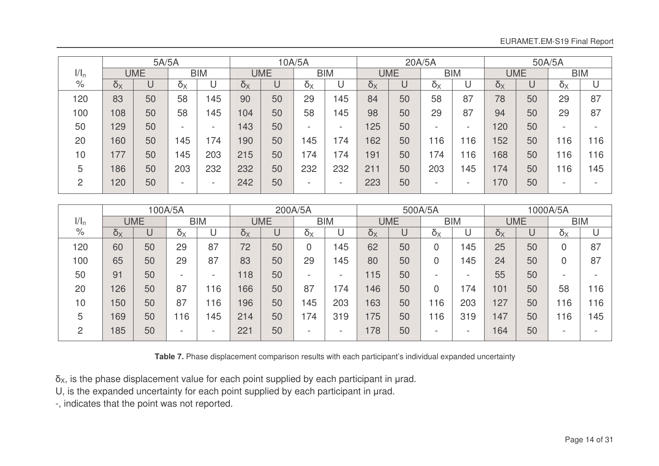|         |            | 5A/5A      |              |            |            |            | 10A/5A       |            |            |            | 20A/5A                |                          |            |            | 50A/5A                   |            |  |
|---------|------------|------------|--------------|------------|------------|------------|--------------|------------|------------|------------|-----------------------|--------------------------|------------|------------|--------------------------|------------|--|
| $1/I_n$ |            | <b>UME</b> |              | <b>BIM</b> |            | <b>UME</b> |              | <b>BIM</b> |            | <b>UME</b> |                       | <b>BIM</b>               |            | <b>UME</b> |                          | <b>BIM</b> |  |
| $\%$    | $\delta_X$ | U          | $\delta_{X}$ |            | $\delta_X$ | U          | $\delta_{X}$ | U          | $\delta_X$ |            | $\delta_{\mathsf{X}}$ |                          | $\delta_X$ | U          | $\delta_{\rm X}$         | U          |  |
| 120     | 83         | 50         | 58           | 145        | 90         | 50         | 29           | 145        | 84         | 50         | 58                    | 87                       | 78         | 50         | 29                       | 87         |  |
| 100     | 108        | 50         | 58           | 145        | 104        | 50         | 58           | 45         | 98         | 50         | 29                    | 87                       | 94         | 50         | 29                       | 87         |  |
| 50      | 129        | 50         | -            |            | 143        | 50         | -            | -          | 125        | 50         |                       | $\overline{\phantom{a}}$ | 120        | 50         | $\overline{\phantom{0}}$ |            |  |
| 20      | 160        | 50         | 45           | 174        | 190        | 50         | 145          | 74         | 162        | 50         | 16                    | 16                       | 152        | 50         | 16                       | 116        |  |
| 10      | 77         | 50         | 45           | 203        | 215        | 50         | 174          | 74         | 191        | 50         | 174                   | 16                       | 168        | 50         | 16                       | 116        |  |
| 5       | 186        | 50         | 203          | 232        | 232        | 50         | 232          | 232        | 211        | 50         | 203                   | 145                      | 174        | 50         | 16                       | 145        |  |
| C       | 120        | 50         | -            | -          | 242        | 50         | -            | -          | 223        | 50         | -                     | $\overline{\phantom{0}}$ | 170        | 50         | -                        |            |  |

|         |                       |            | 100A/5A                  |            |            |            | 200A/5A    |            |            |            | 500A/5A    |            |              |            | 1000A/5A         |            |
|---------|-----------------------|------------|--------------------------|------------|------------|------------|------------|------------|------------|------------|------------|------------|--------------|------------|------------------|------------|
| $1/I_n$ |                       | <b>UME</b> |                          | <b>BIM</b> |            | <b>UME</b> |            | <b>BIM</b> |            | <b>UME</b> |            | <b>BIM</b> |              | <b>UME</b> |                  | <b>BIM</b> |
| $\%$    | $\delta_{\mathsf{X}}$ | U          | $\delta_{X}$             |            | $\delta_X$ | U          | $\delta_X$ | U          | $\delta_X$ | U          | $\delta_X$ |            | $\delta_{X}$ |            | $\delta_{\rm X}$ |            |
| 120     | 60                    | 50         | 29                       | 87         | 72         | 50         |            | 45         | 62         | 50         |            | 45         | 25           | 50         | 0                | 87         |
| 100     | 65                    | 50         | 29                       | 87         | 83         | 50         | 29         | 45         | 80         | 50         |            | 45         | 24           | 50         | 0                | 87         |
| 50      | 91                    | 50         | $\overline{\phantom{0}}$ |            | 18         | 50         | -          |            | 15         | 50         | -          | -          | 55           | 50         | -                |            |
| 20      | 126                   | 50         | 87                       | 116        | 166        | 50         | 87         | 74         | 146        | 50         | 0          | 174        | 101          | 50         | 58               | 116        |
| 10      | 150                   | 50         | 87                       | 116        | 196        | 50         | 145        | 203        | 163        | 50         | 116        | 203        | 127          | 50         | 116              | 116        |
| 5       | 169                   | 50         | 116                      | 145        | 214        | 50         | 174        | 319        | 75         | 50         | 116        | 319        | 147          | 50         | 16               | 145        |
| റ       | 185                   | 50         | -                        |            | 221        | 50         |            |            | 178        | 50         |            |            | 164          | 50         |                  |            |

**Table 7.** Phase displacement comparison results with each participant's individual expanded uncertainty

 $\delta_X$ , is the phase displacement value for each point supplied by each participant in  $\mu$ rad.

U, is the expanded uncertainty for each point supplied by each participant in µrad.

- , indicates that the point was not reported.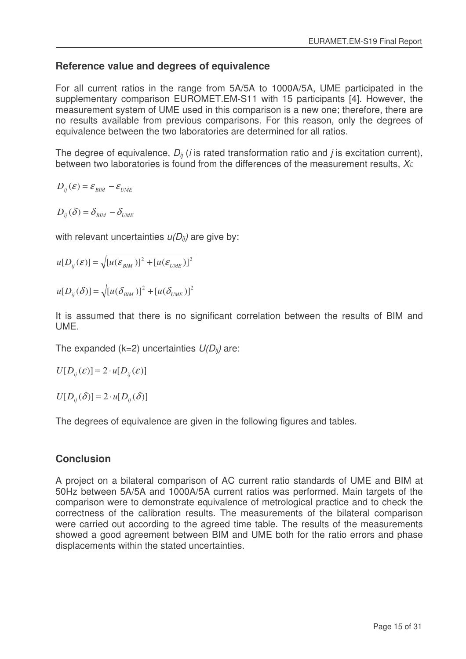### **Reference value and degrees of equivalence**

For all current ratios in the range from 5A/5A to 1000A/5A, UME participated in the supplementary comparison EUROMET.EM-S11 with 15 participants [4]. However, the measurement system of UME used in this comparison is a new one; therefore, there are no results available from previous comparisons. For this reason, only the degrees of equivalence between the two laboratories are determined for all ratios.

The degree of equivalence,  $D_{ii}$  (*i* is rated transformation ratio and *j* is excitation current), between two laboratories is found from the differences of the measurement results, *Xi*:

$$
D_{ij}(\varepsilon) = \varepsilon_{\text{BIM}} - \varepsilon_{\text{UME}}
$$

$$
D_{ij}(\delta) = \delta_{\text{BIM}} - \delta_{\text{UME}}
$$

with relevant uncertainties *u(Dij)* are give by:

$$
u[D_{ij}(\mathcal{E})] = \sqrt{[u(\mathcal{E}_{BIM})]^2 + [u(\mathcal{E}_{UME})]^2}
$$

$$
u[D_{ij}(\delta)] = \sqrt{[u(\delta_{BIM})]^2 + [u(\delta_{UME})]^2}
$$

It is assumed that there is no significant correlation between the results of BIM and UME.

The expanded (k=2) uncertainties *U(Dij)* are:

$$
U[D_{ij}(\varepsilon)]=2\cdot u[D_{ij}(\varepsilon)]
$$

 $U[D_{ii}(\delta)] = 2 \cdot u[D_{ii}(\delta)]$ 

The degrees of equivalence are given in the following figures and tables.

### **Conclusion**

A project on a bilateral comparison of AC current ratio standards of UME and BIM at 50Hz between 5A/5A and 1000A/5A current ratios was performed. Main targets of the comparison were to demonstrate equivalence of metrological practice and to check the correctness of the calibration results. The measurements of the bilateral comparison were carried out according to the agreed time table. The results of the measurements showed a good agreement between BIM and UME both for the ratio errors and phase displacements within the stated uncertainties.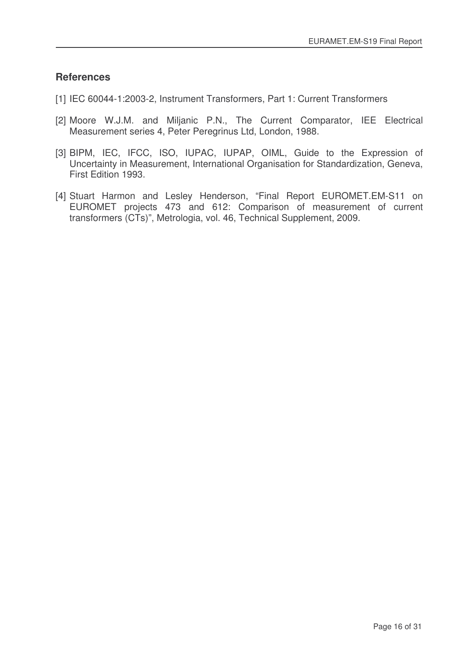### **References**

- [1] IEC 60044-1:2003-2, Instrument Transformers, Part 1: Current Transformers
- [2] Moore W.J.M. and Miljanic P.N., The Current Comparator, IEE Electrical Measurement series 4, Peter Peregrinus Ltd, London, 1988.
- [3] BIPM, IEC, IFCC, ISO, IUPAC, IUPAP, OIML, Guide to the Expression of Uncertainty in Measurement, International Organisation for Standardization, Geneva, First Edition 1993.
- [4] Stuart Harmon and Lesley Henderson, "Final Report EUROMET.EM-S11 on EUROMET projects 473 and 612: Comparison of measurement of current transformers (CTs)", Metrologia, vol. 46, Technical Supplement, 2009.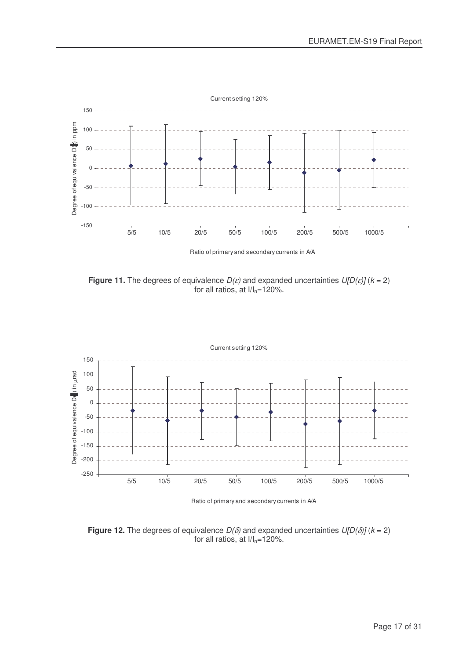

**Figure 11.** The degrees of equivalence  $D(\varepsilon)$  and expanded uncertainties  $U[D(\varepsilon)]$  ( $k = 2$ ) for all ratios, at  $I/I_n=120\%$ .



Ratio of primary and secondary currents in A/A

**Figure 12.** The degrees of equivalence  $D(\delta)$  and expanded uncertainties  $U[D(\delta)]$  ( $k = 2$ ) for all ratios, at  $I/I_n=120\%$ .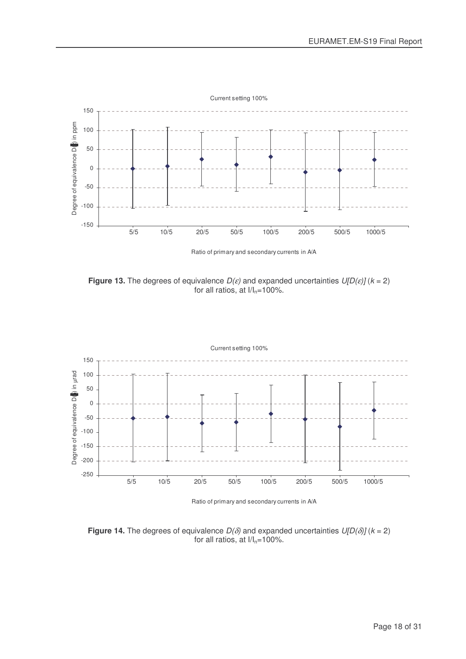

**Figure 13.** The degrees of equivalence  $D(\varepsilon)$  and expanded uncertainties  $U[D(\varepsilon)]$  ( $k = 2$ ) for all ratios, at  $I/I_n=100\%$ .



Ratio of primary and secondary currents in A/A

**Figure 14.** The degrees of equivalence  $D(\delta)$  and expanded uncertainties  $U[D(\delta)]$  ( $k = 2$ ) for all ratios, at  $I/I_n=100\%$ .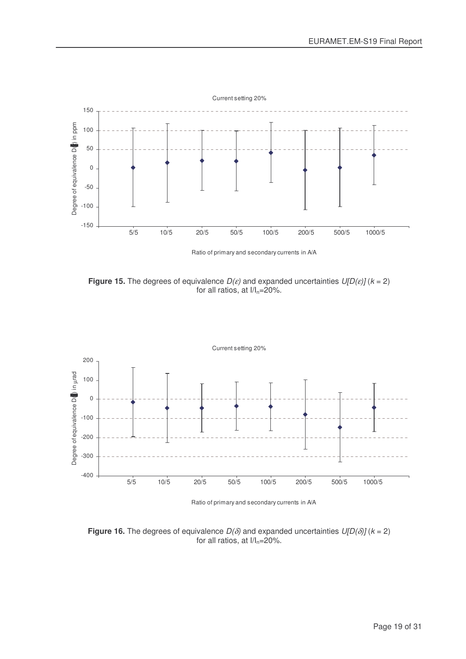

**Figure 15.** The degrees of equivalence  $D(\varepsilon)$  and expanded uncertainties  $U[D(\varepsilon)]$  ( $k = 2$ ) for all ratios, at  $I/I_n=20\%$ .



Ratio of primary and secondary currents in A/A

**Figure 16.** The degrees of equivalence  $D(\delta)$  and expanded uncertainties  $U[D(\delta)]$  ( $k = 2$ ) for all ratios, at  $1/I_n=20\%$ .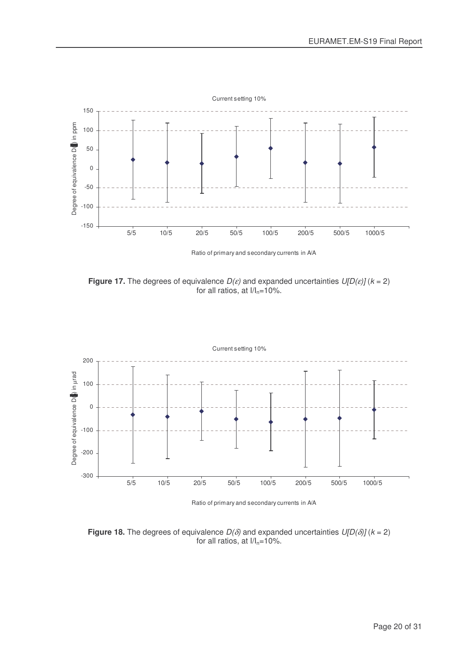

**Figure 17.** The degrees of equivalence  $D(\varepsilon)$  and expanded uncertainties  $U[D(\varepsilon)]$  ( $k = 2$ ) for all ratios, at  $I/I_n=10\%$ .



Ratio of primary and secondary currents in A/A

**Figure 18.** The degrees of equivalence  $D(\delta)$  and expanded uncertainties  $U[D(\delta)]$  ( $k = 2$ ) for all ratios, at  $I/I_n=10\%$ .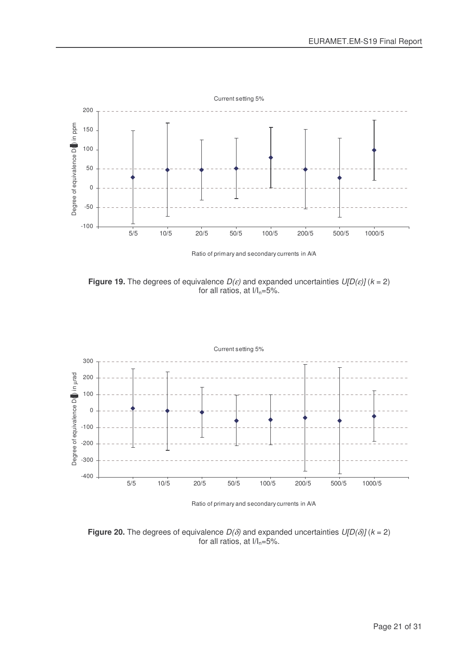

Ratio of primary and secondary currents in A/A

**Figure 19.** The degrees of equivalence  $D(\varepsilon)$  and expanded uncertainties  $U[D(\varepsilon)]$  ( $k = 2$ ) for all ratios, at  $I/I_n=5%$ .



Ratio of primary and secondary currents in A/A

**Figure 20.** The degrees of equivalence  $D(\delta)$  and expanded uncertainties  $U[D(\delta)]$  ( $k = 2$ ) for all ratios, at  $I/I_n=5%$ .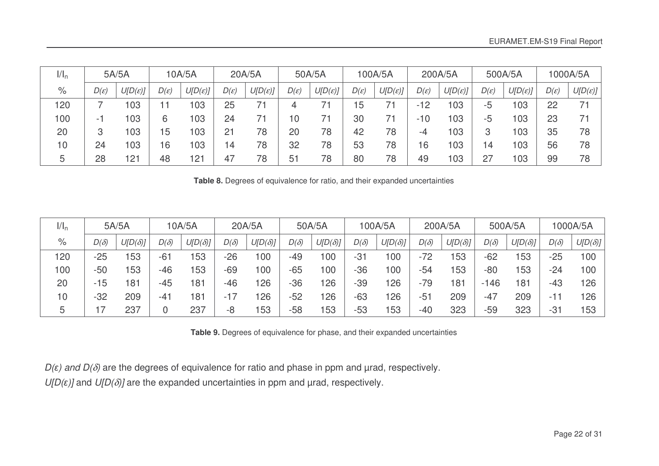| 1/1 <sub>n</sub> |                  | 5A/5A               |                  | 10A/5A              |                  | 20A/5A              |                  | 50A/5A              |                  | 100A/5A             |                  | 200A/5A             |                  | 500A/5A             |                  | 1000A/5A            |
|------------------|------------------|---------------------|------------------|---------------------|------------------|---------------------|------------------|---------------------|------------------|---------------------|------------------|---------------------|------------------|---------------------|------------------|---------------------|
| $\%$             | $D(\varepsilon)$ | $U[D(\varepsilon)]$ | $D(\varepsilon)$ | $U[D(\varepsilon)]$ | $D(\varepsilon)$ | $U[D(\varepsilon)]$ | $D(\varepsilon)$ | $U[D(\varepsilon)]$ | $D(\varepsilon)$ | $U[D(\varepsilon)]$ | $D(\varepsilon)$ | $U[D(\varepsilon)]$ | $D(\varepsilon)$ | $U[D(\varepsilon)]$ | $D(\varepsilon)$ | $U[D(\varepsilon)]$ |
| 120              |                  | 103                 |                  | 03                  | 25               |                     |                  |                     | 15               |                     | $-12$            | 103                 | -5               | 103                 | 22               |                     |
| 100              | - 1              | 103                 | 6                | 03                  | 24               |                     | $\overline{0}$   |                     | 30               |                     | $-10$            | 103                 | -5               | 103                 | 23               | 7.                  |
| 20               | 3                | 103                 | $5\phantom{.0}$  | 03                  | 21               | 78                  | 20               | 78                  | 42               | 78                  | -4               | 103                 |                  | 103                 | 35               | 78                  |
| 10               | 24               | 103                 | 6                | 03                  | 14               | 78                  | 32               | 78                  | 53               | 78                  | 16               | 103                 | 4                | 103                 | 56               | 78                  |
| h                | 28               | 121                 | 48               | 121                 | 47               | 78                  | 51               | 78                  | 80               | 78                  | 49               | 103                 | 27               | 103                 | 99               | 78                  |

**Table 8.** Degrees of equivalence for ratio, and their expanded uncertainties

| $1/I_n$ |             | 5A/5A          |             | 10A/5A         |             | 20A/5A         |             | 50A/5A         |             | 100A/5A        |             | 200A/5A        |             | 500A/5A         |             | 1000A/5A       |
|---------|-------------|----------------|-------------|----------------|-------------|----------------|-------------|----------------|-------------|----------------|-------------|----------------|-------------|-----------------|-------------|----------------|
| $\%$    | $D(\delta)$ | $U[D(\delta)]$ | $D(\delta)$ | $U[D(\delta)]$ | $D(\delta)$ | $U[D(\delta)]$ | $D(\delta)$ | $U[D(\delta)]$ | $D(\delta)$ | $U[D(\delta)]$ | $D(\delta)$ | $U[D(\delta)]$ | $D(\delta)$ | $U[D(\delta)]$  | $D(\delta)$ | $U[D(\delta)]$ |
| 120     | $-25$       | 153            | $-61$       | 153            | $-26$       | 100            | -49         | 100            | $-31$       | 100            | $-72$       | 153            | $-62$       | 153             | $-25$       | 100            |
| 100     | $-50$       | 153            | $-46$       | 53             | $-69$       | 100            | $-65$       | 100            | $-36$       | 100            | $-54$       | 153            | $-80$       | 153             | $-24$       | 100            |
| 20      | $-15$       | 181            | $-45$       | 181            | -46         | 126            | $-36$       | 126            | $-39$       | 126            | $-79$       | 181            | $-146$      | 18 <sup>1</sup> | $-43$       | 126            |
| 10      | $-32$       | 209            | $-41$       | 181            | $-1/$       | 126            | $-52$       | 126            | $-63$       | 126            | $-5^{4}$    | 209            | $-47$       | 209             | -11         | 126            |
| ხ       |             | 237            |             | 237            | -8          | 153            | $-58$       | 153            | $-53$       | 153            | -40         | 323            | $-59$       | 323             | $-31$       | 153            |

**Table 9.** Degrees of equivalence for phase, and their expanded uncertainties

*D(*-*) and D(*δ*)* are the degrees of equivalence for ratio and phase in ppm and µrad, respectively.

*U[D(*-*)]* and *U[D(*δ*)]* are the expanded uncertainties in ppm and µrad, respectively.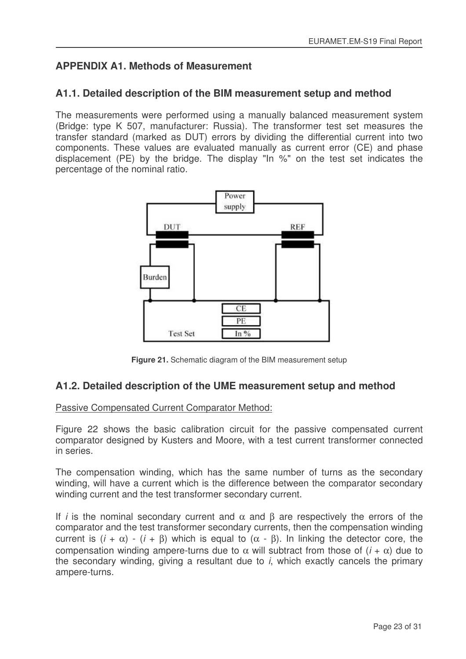# **APPENDIX A1. Methods of Measurement**

### **A1.1. Detailed description of the BIM measurement setup and method**

The measurements were performed using a manually balanced measurement system (Bridge: type K 507, manufacturer: Russia). The transformer test set measures the transfer standard (marked as DUT) errors by dividing the differential current into two components. These values are evaluated manually as current error (CE) and phase displacement (PE) by the bridge. The display "In %" on the test set indicates the percentage of the nominal ratio.



**Figure 21.** Schematic diagram of the BIM measurement setup

### **A1.2. Detailed description of the UME measurement setup and method**

#### Passive Compensated Current Comparator Method:

Figure 22 shows the basic calibration circuit for the passive compensated current comparator designed by Kusters and Moore, with a test current transformer connected in series.

The compensation winding, which has the same number of turns as the secondary winding, will have a current which is the difference between the comparator secondary winding current and the test transformer secondary current.

If *i* is the nominal secondary current and  $\alpha$  and  $\beta$  are respectively the errors of the comparator and the test transformer secondary currents, then the compensation winding current is  $(i + \alpha) - (i + \beta)$  which is equal to  $(\alpha - \beta)$ . In linking the detector core, the compensation winding ampere-turns due to α will subtract from those of (*i* + α) due to the secondary winding, giving a resultant due to *i*, which exactly cancels the primary ampere-turns.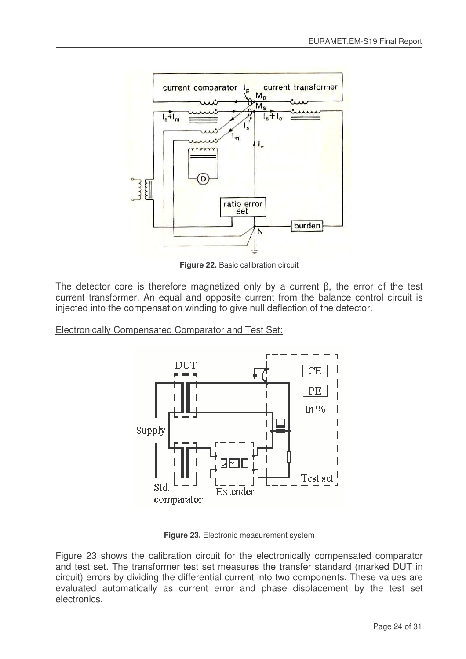

**Figure 22.** Basic calibration circuit

The detector core is therefore magnetized only by a current β, the error of the test current transformer. An equal and opposite current from the balance control circuit is injected into the compensation winding to give null deflection of the detector.

Electronically Compensated Comparator and Test Set:



**Figure 23.** Electronic measurement system

Figure 23 shows the calibration circuit for the electronically compensated comparator and test set. The transformer test set measures the transfer standard (marked DUT in circuit) errors by dividing the differential current into two components. These values are evaluated automatically as current error and phase displacement by the test set electronics.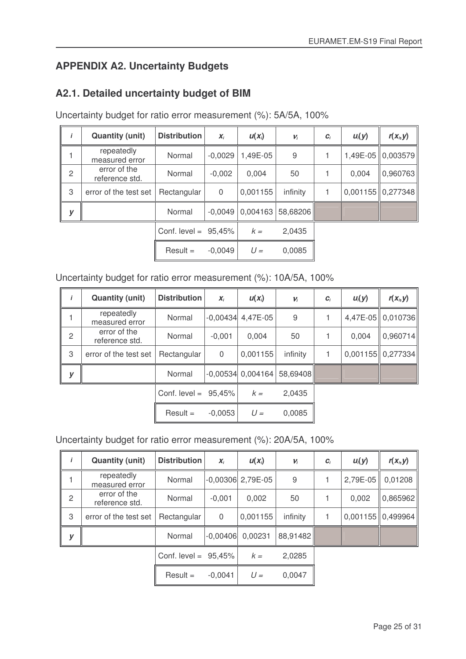# **APPENDIX A2. Uncertainty Budgets**

# **A2.1. Detailed uncertainty budget of BIM**

Uncertainty budget for ratio error measurement (%): 5A/5A, 100%

| i              | <b>Quantity (unit)</b>         | <b>Distribution</b>     | $X_i$     | $U(X_i)$ | $V_i$    | $C_i$ | $U_i(y)$ | $r(x_i, y)$         |
|----------------|--------------------------------|-------------------------|-----------|----------|----------|-------|----------|---------------------|
|                | repeatedly<br>measured error   | Normal                  | $-0.0029$ | 1,49E-05 | 9        |       |          | 1,49E-05   0,003579 |
| $\overline{c}$ | error of the<br>reference std. | Normal                  | $-0.002$  | 0.004    | 50       |       | 0,004    | 0,960763            |
| 3              | error of the test set          | Rectangular             | 0         | 0,001155 | infinity |       |          | $0,001155$ 0,277348 |
| y              |                                | Normal                  | $-0.0049$ | 0,004163 | 58,68206 |       |          |                     |
|                |                                | Conf. level = $95,45\%$ |           | $k =$    | 2,0435   |       |          |                     |
|                |                                | $Result =$              | $-0.0049$ | $U =$    | 0,0085   |       |          |                     |

### Uncertainty budget for ratio error measurement (%): 10A/5A, 100%

|                | <b>Quantity (unit)</b>         | <b>Distribution</b>     | $X_i$          | $U(X_i)$            | $\nu_i$  | $C_i$ | $u_i(y)$ | $r(x_i, y)$         |
|----------------|--------------------------------|-------------------------|----------------|---------------------|----------|-------|----------|---------------------|
|                | repeatedly<br>measured error   | Normal                  |                | $-0,00434$ 4,47E-05 | 9        |       |          | 4,47E-05 0,010736   |
| $\overline{c}$ | error of the<br>reference std. | Normal                  | $-0,001$       | 0,004               | 50       |       | 0,004    | 0,960714            |
| 3              | error of the test set          | Rectangular             | $\overline{0}$ | 0,001155            | infinity |       |          | $0,001155$ 0,277334 |
| у              |                                | Normal                  |                | $-0,00534$ 0,004164 | 58,69408 |       |          |                     |
|                |                                | Conf. level = $95,45\%$ |                | $k =$               | 2,0435   |       |          |                     |
|                |                                | $Result =$              | $-0,0053$      | $U =$               | 0,0085   |       |          |                     |

### Uncertainty budget for ratio error measurement (%): 20A/5A, 100%

| , | <b>Quantity (unit)</b>         | <b>Distribution</b>     | $X_i$          | $U(X_i)$            | $\nu_i$  | $C_i$ | $u_i(y)$   | $r(x_i, y)$         |
|---|--------------------------------|-------------------------|----------------|---------------------|----------|-------|------------|---------------------|
|   | repeatedly<br>measured error   | Normal                  |                | $-0,00306$ 2,79E-05 | 9        |       | $2,79E-05$ | 0,01208             |
| 2 | error of the<br>reference std. | Normal                  | $-0,001$       | 0,002               | 50       |       | 0,002      | 0,865962            |
| 3 | error of the test set          | Rectangular             | $\overline{0}$ | 0,001155            | infinity |       |            | $0,001155$ 0.499964 |
| y |                                | Normal                  | $-0.00406$     | 0,00231             | 88,91482 |       |            |                     |
|   |                                | Conf. level = $95,45\%$ |                | $k =$               | 2,0285   |       |            |                     |
|   |                                | $Result =$              | $-0.0041$      | $U =$               | 0,0047   |       |            |                     |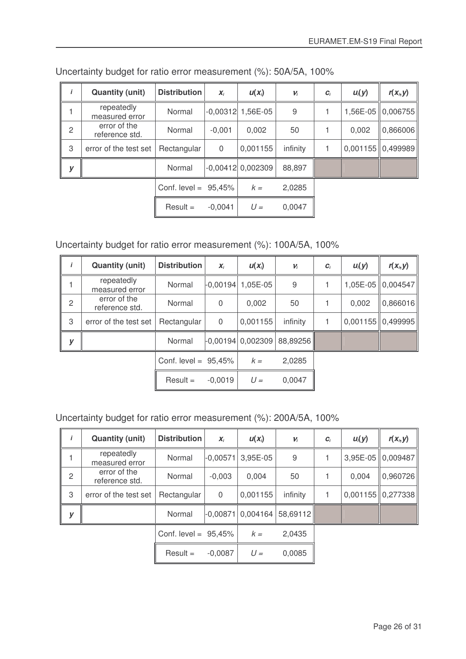|                | <b>Quantity (unit)</b>         | <b>Distribution</b>     | $X_i$     | $U(X_i)$            | $V_i$    | $\bm{C}_i$ | $U_i(y)$ | $r(x_i, y)$         |
|----------------|--------------------------------|-------------------------|-----------|---------------------|----------|------------|----------|---------------------|
|                | repeatedly<br>measured error   | Normal                  |           | $-0,00312$ 1,56E-05 | 9        |            |          | 1,56E-05   0,006755 |
| $\overline{c}$ | error of the<br>reference std. | Normal                  | $-0.001$  | 0,002               | 50       |            | 0.002    | 0,866006            |
| 3              | error of the test set          | Rectangular             | $\Omega$  | 0,001155            | infinity |            |          | $0,001155$ 0,499989 |
| y              |                                | Normal                  |           | $-0,00412$ 0,002309 | 88,897   |            |          |                     |
|                |                                | Conf. level = $95,45\%$ |           | $k =$               | 2,0285   |            |          |                     |
|                |                                | $Result =$              | $-0,0041$ | $U =$               | 0,0047   |            |          |                     |

Uncertainty budget for ratio error measurement (%): 50A/5A, 100%

### Uncertainty budget for ratio error measurement (%): 100A/5A, 100%

|                | <b>Quantity (unit)</b>         | <b>Distribution</b>     | $\mathbf{x}_i$ | $U(X_i)$                        | $\nu_i$  | $C_i$ | $U_i(y)$   | $r(x_i, y)$         |
|----------------|--------------------------------|-------------------------|----------------|---------------------------------|----------|-------|------------|---------------------|
|                | repeatedly<br>measured error   | Normal                  |                | $\binom{.00194}{.05}$ - 0.00194 | 9        |       | $1,05E-05$ | 0,004547            |
| $\overline{2}$ | error of the<br>reference std. | Normal                  | 0              | 0,002                           | 50       |       | 0,002      | 0,866016            |
| 3              | error of the test set          | Rectangular             | $\Omega$       | 0,001155                        | infinity |       |            | $0,001155$ 0,499995 |
| у              |                                | Normal                  |                | $-0,00194$ 0,002309             | 88,89256 |       |            |                     |
|                |                                | Conf. level = $95,45\%$ |                | $k =$                           | 2,0285   |       |            |                     |
|                |                                | $Result =$              | $-0.0019$      | $U =$                           | 0,0047   |       |            |                     |

# Uncertainty budget for ratio error measurement (%): 200A/5A, 100%

|                | <b>Quantity (unit)</b>         | <b>Distribution</b>     | $X_i$      | $U(X_i)$ | $V_i$    | $C_i$ | $U_i(y)$ | $r(x_i, y)$         |
|----------------|--------------------------------|-------------------------|------------|----------|----------|-------|----------|---------------------|
|                | repeatedly<br>measured error   | Normal                  | $-0,00571$ | 3,95E-05 | 9        |       |          | 3,95E-05 0,009487   |
| $\overline{2}$ | error of the<br>reference std. | Normal                  | $-0,003$   | 0,004    | 50       |       | 0,004    | 0,960726            |
| 3              | error of the test set          | Rectangular             | $\Omega$   | 0,001155 | infinity |       |          | $0,001155$ 0,277338 |
| y              |                                | Normal                  | $-0.00871$ | 0,004164 | 58,69112 |       |          |                     |
|                |                                | Conf. level = $95,45\%$ |            | $k =$    | 2,0435   |       |          |                     |
|                |                                | $Result =$              | $-0,0087$  | $U =$    | 0,0085   |       |          |                     |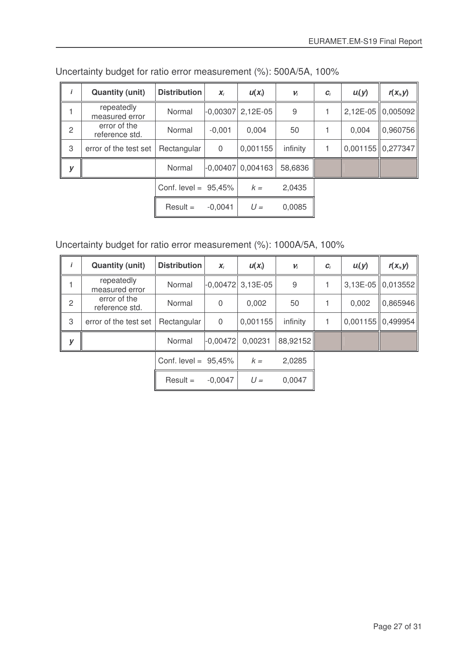|                | <b>Quantity (unit)</b>         | <b>Distribution</b>     | $X_i$      | $U(X_i)$ | $\nu_i$  | $C_i$ | $U_i(y)$ | $r(x_i, y)$         |
|----------------|--------------------------------|-------------------------|------------|----------|----------|-------|----------|---------------------|
|                | repeatedly<br>measured error   | Normal                  | $-0,00307$ | 2,12E-05 | 9        |       |          | 2,12E-05 0,005092   |
| $\overline{2}$ | error of the<br>reference std. | Normal                  | $-0,001$   | 0,004    | 50       |       | 0.004    | 0,960756            |
| 3              | error of the test set          | Rectangular             | $\Omega$   | 0,001155 | infinity |       |          | $0,001155$ 0,277347 |
| у              |                                | Normal                  | $-0,00407$ | 0,004163 | 58,6836  |       |          |                     |
|                |                                | Conf. level = $95,45\%$ |            | $k =$    | 2,0435   |       |          |                     |
|                |                                | $Result =$              | $-0.0041$  | $U =$    | 0,0085   |       |          |                     |

Uncertainty budget for ratio error measurement (%): 500A/5A, 100%

Uncertainty budget for ratio error measurement (%): 1000A/5A, 100%

|                | <b>Quantity (unit)</b>         | <b>Distribution</b>     | $X_i$        | $U(X_i)$            | $V_i$    | $\bm{C}_i$ | $U_i(y)$ | $r(x_i, y)$           |
|----------------|--------------------------------|-------------------------|--------------|---------------------|----------|------------|----------|-----------------------|
|                | repeatedly<br>measured error   | Normal                  |              | $-0,00472$ 3,13E-05 | 9        |            |          | 3,13E-05 0,013552     |
| $\overline{2}$ | error of the<br>reference std. | Normal                  | $\mathbf 0$  | 0,002               | 50       |            | 0,002    | 0,865946              |
| 3              | error of the test set          | Rectangular             | $\mathbf{0}$ | 0,001155            | infinity |            |          | $0,001155$   0,499954 |
| V              |                                | Normal                  | $-0,00472$   | 0.00231             | 88,92152 |            |          |                       |
|                |                                | Conf. level = $95,45\%$ |              | $k =$               | 2,0285   |            |          |                       |
|                |                                | $Result =$              | $-0,0047$    | $U =$               | 0,0047   |            |          |                       |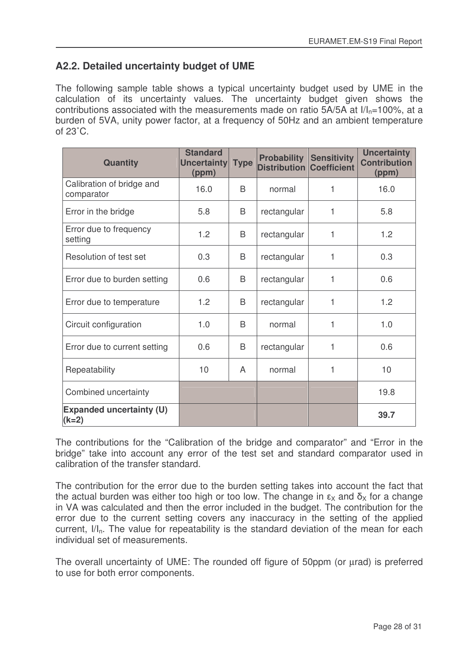# **A2.2. Detailed uncertainty budget of UME**

The following sample table shows a typical uncertainty budget used by UME in the calculation of its uncertainty values. The uncertainty budget given shows the contributions associated with the measurements made on ratio  $5A/5A$  at  $I/I<sub>n</sub>=100%$ , at a burden of 5VA, unity power factor, at a frequency of 50Hz and an ambient temperature of 23˚C.

| <b>Quantity</b>                            | <b>Standard</b><br>Uncertainty<br>(ppm) | <b>Type</b> | <b>Probability</b><br><b>Distribution Coefficient</b> | <b>Sensitivity</b> | <b>Uncertainty</b><br><b>Contribution</b><br>(ppm) |
|--------------------------------------------|-----------------------------------------|-------------|-------------------------------------------------------|--------------------|----------------------------------------------------|
| Calibration of bridge and<br>comparator    | 16.0                                    | B           | normal                                                | 1                  | 16.0                                               |
| Error in the bridge                        | 5.8                                     | B           | rectangular                                           | 1                  | 5.8                                                |
| Error due to frequency<br>setting          | 1.2                                     | B           | rectangular                                           | 1                  | 1.2                                                |
| Resolution of test set                     | 0.3                                     | B           | rectangular                                           | 1                  | 0.3                                                |
| Error due to burden setting                | 0.6                                     | B           | rectangular                                           | 1                  | 0.6                                                |
| Error due to temperature                   | 1.2                                     | B           | rectangular                                           | 1                  | 1.2                                                |
| Circuit configuration                      | 1.0                                     | B           | normal                                                | 1                  | 1.0                                                |
| Error due to current setting               | 0.6                                     | B           | rectangular                                           | 1                  | 0.6                                                |
| Repeatability                              | 10                                      | A           | normal                                                | 1                  | 10                                                 |
| Combined uncertainty                       |                                         |             |                                                       |                    | 19.8                                               |
| <b>Expanded uncertainty (U)</b><br>$(k=2)$ |                                         |             |                                                       |                    | 39.7                                               |

The contributions for the "Calibration of the bridge and comparator" and "Error in the bridge" take into account any error of the test set and standard comparator used in calibration of the transfer standard.

The contribution for the error due to the burden setting takes into account the fact that the actual burden was either too high or too low. The change in  $\epsilon_\mathsf{X}$  and  $\bar{\mathsf{o}}_\mathsf{X}$  for a change in VA was calculated and then the error included in the budget. The contribution for the error due to the current setting covers any inaccuracy in the setting of the applied current,  $I/I<sub>n</sub>$ . The value for repeatability is the standard deviation of the mean for each individual set of measurements.

The overall uncertainty of UME: The rounded off figure of 50ppm (or urad) is preferred to use for both error components.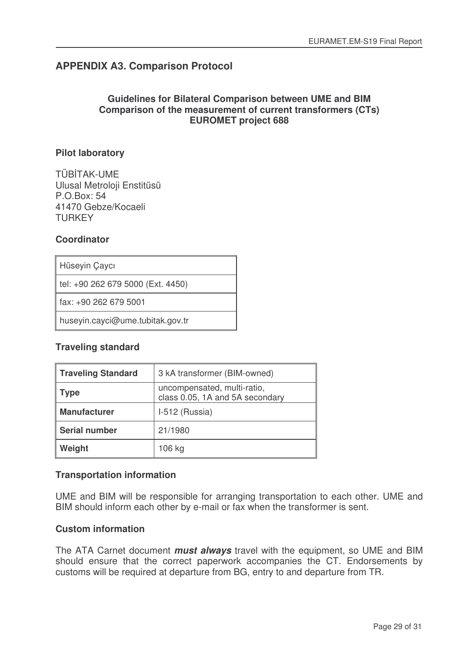# **APPENDIX A3. Comparison Protocol**

### **Guidelines for Bilateral Comparison between UME and BIM Comparison of the measurement of current transformers (CTs) EUROMET project 688**

### **Pilot laboratory**

TÜBTAK-UME Ulusal Metroloji Enstitüsü P.O.Box: 54 41470 Gebze/Kocaeli **TURKEY** 

### **Coordinator**

| Hüseyin Çaycı |
|---------------|
|---------------|

tel: +90 262 679 5000 (Ext. 4450)

fax: +90 262 679 5001

huseyin.cayci@ume.tubitak.gov.tr

### **Traveling standard**

| <b>Traveling Standard</b> | 3 kA transformer (BIM-owned)                                   |
|---------------------------|----------------------------------------------------------------|
| <b>Type</b>               | uncompensated, multi-ratio,<br>class 0.05, 1A and 5A secondary |
| <b>Manufacturer</b>       | I-512 (Russia)                                                 |
| <b>Serial number</b>      | 21/1980                                                        |
| Weight                    | 106 kg                                                         |

### **Transportation information**

UME and BIM will be responsible for arranging transportation to each other. UME and BIM should inform each other by e-mail or fax when the transformer is sent.

### **Custom information**

The ATA Carnet document *must always* travel with the equipment, so UME and BIM should ensure that the correct paperwork accompanies the CT. Endorsements by customs will be required at departure from BG, entry to and departure from TR.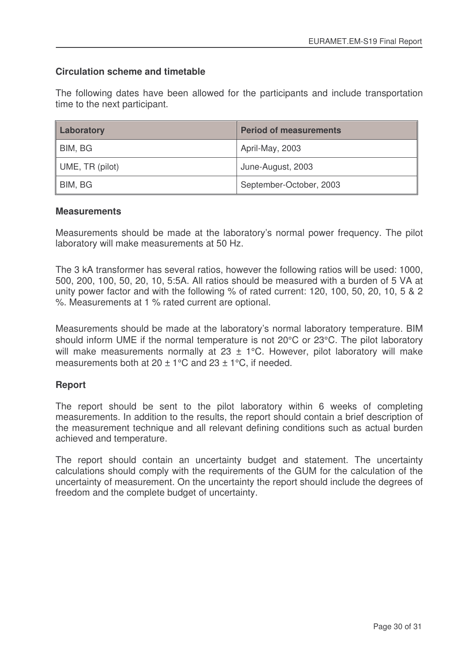### **Circulation scheme and timetable**

The following dates have been allowed for the participants and include transportation time to the next participant.

| Laboratory      | <b>Period of measurements</b> |
|-----------------|-------------------------------|
| BIM, BG         | April-May, 2003               |
| UME, TR (pilot) | June-August, 2003             |
| BIM, BG         | September-October, 2003       |

### **Measurements**

Measurements should be made at the laboratory's normal power frequency. The pilot laboratory will make measurements at 50 Hz.

The 3 kA transformer has several ratios, however the following ratios will be used: 1000, 500, 200, 100, 50, 20, 10, 5:5A. All ratios should be measured with a burden of 5 VA at unity power factor and with the following % of rated current: 120, 100, 50, 20, 10, 5 & 2 %. Measurements at 1 % rated current are optional.

Measurements should be made at the laboratory's normal laboratory temperature. BIM should inform UME if the normal temperature is not 20°C or 23°C. The pilot laboratory will make measurements normally at  $23 \pm 1$ °C. However, pilot laboratory will make measurements both at  $20 \pm 1^{\circ}$ C and  $23 \pm 1^{\circ}$ C, if needed.

### **Report**

The report should be sent to the pilot laboratory within 6 weeks of completing measurements. In addition to the results, the report should contain a brief description of the measurement technique and all relevant defining conditions such as actual burden achieved and temperature.

The report should contain an uncertainty budget and statement. The uncertainty calculations should comply with the requirements of the GUM for the calculation of the uncertainty of measurement. On the uncertainty the report should include the degrees of freedom and the complete budget of uncertainty.